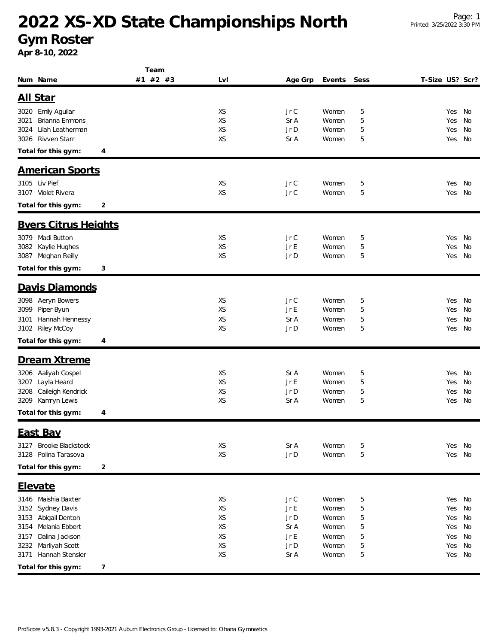# **2022 XS-XD State Championships North**

**Gym Roster**

**Apr 8-10, 2022**

|                                          | Team     |                 |              |                |        |                 |            |          |
|------------------------------------------|----------|-----------------|--------------|----------------|--------|-----------------|------------|----------|
| Num Name                                 | #1 #2 #3 | Lvl             | Age Grp      | Events         | Sess   | T-Size US? Scr? |            |          |
| All Star                                 |          |                 |              |                |        |                 |            |          |
|                                          |          |                 |              |                |        |                 |            |          |
| 3020 Emily Aguilar                       |          | XS              | Jr C         | Women          | 5      |                 | Yes No     |          |
| Brianna Emmons<br>3021                   |          | <b>XS</b>       | Sr A         | Women          | 5      |                 | Yes        | No       |
| Lilah Leatherman<br>3024<br>Rivven Starr |          | XS<br><b>XS</b> | Jr D         | Women          | 5      |                 | Yes        | No       |
| 3026                                     |          |                 | Sr A         | Women          | 5      |                 | Yes        | No       |
| Total for this gym:<br>4                 |          |                 |              |                |        |                 |            |          |
| <b>American Sports</b>                   |          |                 |              |                |        |                 |            |          |
| 3105 Liv Pief                            |          | XS              | Jr C         | Women          | 5      |                 | Yes        | No       |
| 3107 Violet Rivera                       |          | XS              | Jr C         | Women          | 5      |                 | Yes        | No       |
| Total for this gym:<br>2                 |          |                 |              |                |        |                 |            |          |
|                                          |          |                 |              |                |        |                 |            |          |
| <b>Byers Citrus Heights</b>              |          |                 |              |                |        |                 |            |          |
| 3079 Madi Button                         |          | XS              | Jr C         | Women          | 5      |                 | Yes        | No       |
| Kaylie Hughes<br>3082                    |          | XS              | Jr E         | Women          | 5      |                 | Yes        | No       |
| 3087 Meghan Reilly                       |          | <b>XS</b>       | Jr D         | Women          | 5      |                 | Yes        | No       |
| Total for this gym:<br>3                 |          |                 |              |                |        |                 |            |          |
| Davis Diamonds                           |          |                 |              |                |        |                 |            |          |
| 3098 Aeryn Bowers                        |          | XS              | Jr C         | Women          | 5      |                 | Yes        | No       |
| 3099 Piper Byun                          |          | <b>XS</b>       | Jr E         | Women          | 5      |                 | Yes        | No       |
| Hannah Hennessy<br>3101                  |          | XS              | Sr A         | Women          | 5      |                 | Yes        | No       |
| 3102 Riley McCoy                         |          | <b>XS</b>       | Jr D         | Women          | 5      |                 | Yes        | No       |
| Total for this gym:<br>4                 |          |                 |              |                |        |                 |            |          |
|                                          |          |                 |              |                |        |                 |            |          |
| Dream Xtreme                             |          |                 |              |                |        |                 |            |          |
| 3206 Aaliyah Gospel                      |          | XS              | Sr A         | Women          | 5      |                 | Yes        | No       |
| 3207 Layla Heard                         |          | XS              | Jr E         | Women          | 5      |                 | Yes        | No       |
| Caileigh Kendrick<br>3208                |          | <b>XS</b>       | Jr D         | Women          | 5      |                 | Yes        | No       |
| 3209 Kamryn Lewis                        |          | <b>XS</b>       | Sr A         | Women          | 5      |                 | Yes        | No       |
| Total for this gym:<br>4                 |          |                 |              |                |        |                 |            |          |
| East Bay                                 |          |                 |              |                |        |                 |            |          |
| Brooke Blackstock<br>3127                |          | XS              | Sr A         | Women          | 5      |                 | Yes        | No       |
| Polina Tarasova<br>3128                  |          | XS              | Jr D         | Women          | 5      |                 | Yes        | No       |
| Total for this gym:<br>2                 |          |                 |              |                |        |                 |            |          |
|                                          |          |                 |              |                |        |                 |            |          |
| Elevate                                  |          |                 |              |                |        |                 |            |          |
| 3146 Maishia Baxter                      |          | XS              | Jr C         | Women          | 5      |                 | Yes No     |          |
| Sydney Davis<br>3152                     |          | XS              | Jr E         | Women          | 5      |                 | Yes        | No       |
| 3153<br>Abigail Denton                   |          | XS              | Jr D         | Women          | 5      |                 | Yes        | No       |
| Melania Ebbert<br>3154<br>Dalina Jackson |          | XS              | Sr A         | Women          | 5      |                 | Yes        | No       |
| 3157<br>Marliyah Scott<br>3232           |          | XS<br>XS        | Jr E<br>Jr D | Women<br>Women | 5<br>5 |                 | Yes<br>Yes | No<br>No |
| Hannah Stensler<br>3171                  |          | XS              | Sr A         | Women          | 5      |                 | Yes No     |          |
|                                          |          |                 |              |                |        |                 |            |          |
| Total for this gym:<br>7                 |          |                 |              |                |        |                 |            |          |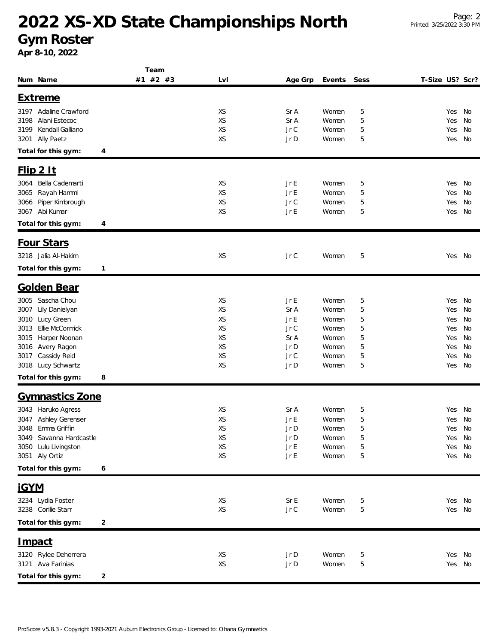# **2022 XS-XD State Championships North**

#### **Gym Roster**

**Apr 8-10, 2022**

|                                              | Team         |           |              |        |        |                 |        |          |
|----------------------------------------------|--------------|-----------|--------------|--------|--------|-----------------|--------|----------|
| Num Name                                     | #1 #2 #3     | LvI       | Age Grp      | Events | Sess   | T-Size US? Scr? |        |          |
| <b>Extreme</b>                               |              |           |              |        |        |                 |        |          |
|                                              |              |           |              |        |        |                 |        |          |
| 3197 Adaline Crawford                        |              | XS        | Sr A         | Women  | 5      | Yes             |        | No       |
| 3198<br>Alani Estecoc                        |              | XS        | Sr A         | Women  | 5      | Yes             |        | No       |
| Kendall Galliano<br>3199                     |              | <b>XS</b> | JrC          | Women  | 5      | Yes             |        | No       |
| Ally Paetz<br>3201                           |              | <b>XS</b> | Jr D         | Women  | 5      | Yes             |        | No       |
| Total for this gym:                          | 4            |           |              |        |        |                 |        |          |
| $Flip$ 2 It                                  |              |           |              |        |        |                 |        |          |
| Bella Cademarti<br>3064                      |              | XS        | Jr E         | Women  | 5      | Yes             |        | No       |
| Rayah Hammi<br>3065                          |              | XS        | $Jr \, E$    | Women  | 5      | Yes             |        | No       |
|                                              |              | XS        |              | Women  |        |                 |        |          |
| Piper Kimbrough<br>3066<br>Abi Kumar<br>3067 |              | XS        | Jr C<br>Jr E | Women  | 5<br>5 | Yes<br>Yes      |        | No<br>No |
|                                              |              |           |              |        |        |                 |        |          |
| Total for this gym:                          | 4            |           |              |        |        |                 |        |          |
| Four Stars                                   |              |           |              |        |        |                 |        |          |
| 3218 Jalia Al-Hakim                          |              | XS        | Jr C         | Women  | 5      |                 | Yes No |          |
|                                              |              |           |              |        |        |                 |        |          |
| Total for this gym:                          | $\mathbf{1}$ |           |              |        |        |                 |        |          |
| <b>Golden Bear</b>                           |              |           |              |        |        |                 |        |          |
| Sascha Chou<br>3005                          |              | XS        | Jr E         | Women  | 5      | Yes             |        | No       |
| Lily Danielyan<br>3007                       |              | XS        | Sr A         | Women  | 5      | Yes             |        | No       |
| Lucy Green<br>3010                           |              | XS        | Jr E         | Women  | 5      | Yes             |        | No       |
| Ellie McCormick<br>3013                      |              | XS        | JrC          | Women  | 5      | Yes             |        | No       |
| Harper Noonan<br>3015                        |              | XS        | Sr A         | Women  | 5      | Yes             |        | No       |
| Avery Ragon<br>3016                          |              | <b>XS</b> | Jr D         | Women  | 5      | Yes             |        | No       |
| Cassidy Reid<br>3017                         |              | XS        | Jr C         | Women  | 5      | Yes             |        | No       |
| 3018 Lucy Schwartz                           |              | <b>XS</b> | Jr D         | Women  | 5      |                 | Yes    | No       |
| Total for this gym:                          | 8            |           |              |        |        |                 |        |          |
|                                              |              |           |              |        |        |                 |        |          |
| <b>Gymnastics Zone</b>                       |              |           |              |        |        |                 |        |          |
| 3043 Haruko Agress                           |              | XS        | Sr A         | Women  | 5      | Yes             |        | No       |
| Ashley Gerenser<br>3047                      |              | XS        | Jr E         | Women  | 5      | Yes             |        | No       |
| Emma Griffin<br>3048                         |              | XS        | Jr D         | Women  | 5      | Yes             |        | No       |
| 3049 Savanna Hardcastle                      |              | XS        | Jr D         | Women  | 5      |                 | Yes No |          |
| 3050 Lulu Livingston                         |              | XS        | $Jr \, E$    | Women  | 5      | Yes             |        | No       |
| 3051 Aly Ortiz                               |              | XS        | $Jr \, E$    | Women  | 5      | Yes             |        | No       |
| Total for this gym:                          | 6            |           |              |        |        |                 |        |          |
| <b>iGYM</b>                                  |              |           |              |        |        |                 |        |          |
| 3234 Lydia Foster                            |              | XS        | Sr E         | Women  |        |                 | Yes No |          |
| 3238 Corilie Starr                           |              | XS        | $JrC$        | Women  | 5      | Yes             |        | No       |
| Total for this gym:                          |              |           |              |        | 5      |                 |        |          |
|                                              | 2            |           |              |        |        |                 |        |          |
| <u>Impact</u>                                |              |           |              |        |        |                 |        |          |
| 3120 Rylee Deherrera                         |              | XS        | Jr D         | Women  | 5      | Yes             |        | No       |
| 3121 Ava Farinias                            |              | XS        | Jr D         | Women  | 5      |                 | Yes No |          |
| Total for this gym:                          | 2            |           |              |        |        |                 |        |          |
|                                              |              |           |              |        |        |                 |        |          |